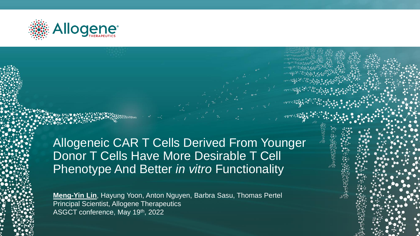

**1**

Allogeneic CAR T Cells Derived From Younger Donor T Cells Have More Desirable T Cell Phenotype And Better *in vitro* Functionality

**Meng-Yin Lin**, Hayung Yoon, Anton Nguyen, Barbra Sasu, Thomas Pertel Principal Scientist, Allogene Therapeutics ASGCT conference, May 19th, 2022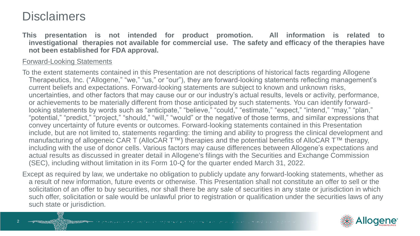#### **Disclaimers**

**This presentation is not intended for product promotion. All information is related to investigational therapies not available for commercial use. The safety and efficacy of the therapies have not been established for FDA approval.**

#### Forward-Looking Statements

To the extent statements contained in this Presentation are not descriptions of historical facts regarding Allogene Therapeutics, Inc. ("Allogene," "we," "us," or "our"), they are forward-looking statements reflecting management's current beliefs and expectations. Forward-looking statements are subject to known and unknown risks, uncertainties, and other factors that may cause our or our industry's actual results, levels or activity, performance, or achievements to be materially different from those anticipated by such statements. You can identify forwardlooking statements by words such as "anticipate," "believe," "could," "estimate," "expect," "intend," "may," "plan," "potential," "predict," "project," "should," "will," "would" or the negative of those terms, and similar expressions that convey uncertainty of future events or outcomes. Forward-looking statements contained in this Presentation include, but are not limited to, statements regarding: the timing and ability to progress the clinical development and manufacturing of allogeneic CAR T (AlloCAR T™) therapies and the potential benefits of AlloCAR T™ therapy, including with the use of donor cells. Various factors may cause differences between Allogene's expectations and actual results as discussed in greater detail in Allogene's filings with the Securities and Exchange Commission (SEC), including without limitation in its Form 10-Q for the quarter ended March 31, 2022.

Except as required by law, we undertake no obligation to publicly update any forward-looking statements, whether as a result of new information, future events or otherwise. This Presentation shall not constitute an offer to sell or the solicitation of an offer to buy securities, nor shall there be any sale of securities in any state or jurisdiction in which such offer, solicitation or sale would be unlawful prior to registration or qualification under the securities laws of any such state or jurisdiction.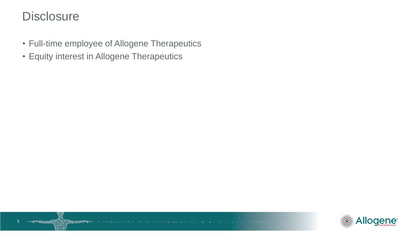### **Disclosure**

**3**3

**PERMIT AND** 

- Full-time employee of Allogene Therapeutics
- Equity interest in Allogene Therapeutics

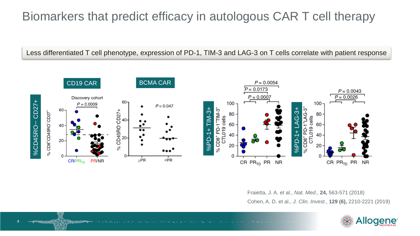# Biomarkers that predict efficacy in autologous CAR T cell therapy

Less differentiated T cell phenotype, expression of PD-1, TIM-3 and LAG-3 on T cells correlate with patient response



Fraietta, J. A. et al., *Nat. Med*., **24,** 563-571 (2018) Cohen, A. D. et al., *J. Clin. Invest*., **129 (6),** 2210-2221 (2019)



**4**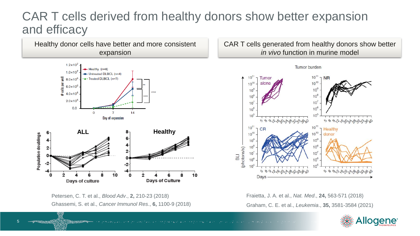## CAR T cells derived from healthy donors show better expansion and efficacy



Petersen, C. T. et al., *Blood Adv*., **2,** 210-23 (2018) Ghassemi, S. et al., *Cancer Immunol Res*., **6,** 1100-9 (2018)

CAR T cells generated from healthy donors show better *in vivo* function in murine model



Fraietta, J. A. et al., *Nat. Med*., **24,** 563-571 (2018) Graham, C. E. et al., *Leukemia*., **35,** 3581-3584 (2021)

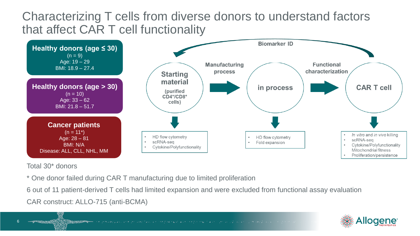## Characterizing T cells from diverse donors to understand factors that affect CAR T cell functionality



Total 30\* donors

**6**

6

\* One donor failed during CAR T manufacturing due to limited proliferation

6 out of 11 patient-derived T cells had limited expansion and were excluded from functional assay evaluation CAR construct: ALLO-715 (anti-BCMA)

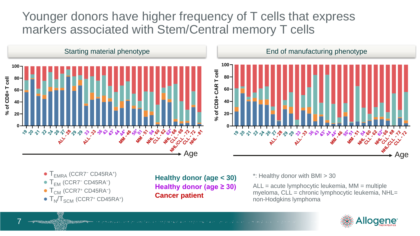## Younger donors have higher frequency of T cells that express markers associated with Stem/Central memory T cells



- T<sub>EMRA</sub> (CCR7<sup>-</sup> CD45RA<sup>+</sup>)
- T<sub>EM</sub> (CCR7<sup>-</sup> CD45RA<sup>-</sup>)
- $\bullet$  T<sub>CM</sub> (CCR7<sup>+</sup> CD45RA<sup>-</sup>)

**7**

7

 $\bullet$  T<sub>N</sub>/T<sub>SCM</sub> (CCR7<sup>+</sup> CD45RA<sup>+</sup>)

**Healthy donor (age < 30) Healthy donor (age ≥ 30) Cancer patient**

\*: Healthy donor with BMI > 30

ALL = acute lymphocytic leukemia, MM = multiple myeloma, CLL = chronic lymphocytic leukemia, NHL= non-Hodgkins lymphoma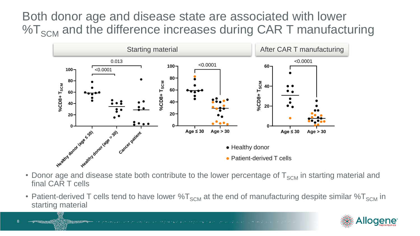Both donor age and disease state are associated with lower  $\%T_{SCM}$  and the difference increases during CAR T manufacturing



- Donor age and disease state both contribute to the lower percentage of  $T_{SCM}$  in starting material and final CAR T cells
- Patient-derived T cells tend to have lower  $\%T_{SCM}$  at the end of manufacturing despite similar  $\%T_{SCM}$  in starting material

**8**

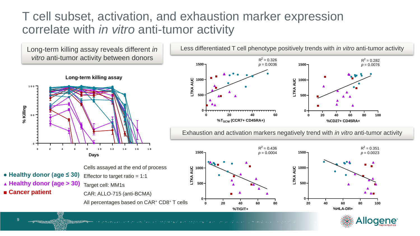## T cell subset, activation, and exhaustion marker expression correlate with *in vitro* anti-tumor activity

*vitro* anti-tumor activity between donors



- **● Healthy donor (age ≤ 30) ▲ Healthy donor (age > 30)**
- **■ Cancer patient**
- Cells assayed at the end of process Effector to target ratio  $= 1:1$ Target cell: MM1s CAR: ALLO-715 (anti-BCMA) All percentages based on CAR<sup>+</sup> CD8<sup>+</sup> T cells



Exhaustion and activation markers negatively trend with *in vitro* anti-tumor activity



**A REAL PROPERTY OF STATE**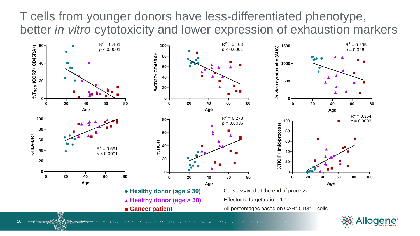T cells from younger donors have less-differentiated phenotype, better *in vitro* cytotoxicity and lower expression of exhaustion markers





**10** 10

**SEPTEMBER 1999**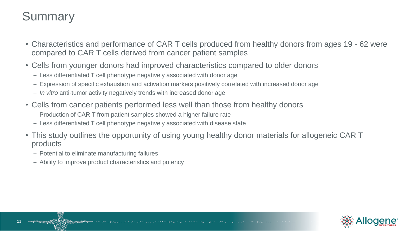# **Summary**

**11**

- Characteristics and performance of CAR T cells produced from healthy donors from ages 19 62 were compared to CAR T cells derived from cancer patient samples
- Cells from younger donors had improved characteristics compared to older donors
	- Less differentiated T cell phenotype negatively associated with donor age
	- Expression of specific exhaustion and activation markers positively correlated with increased donor age
	- *In vitro* anti-tumor activity negatively trends with increased donor age
- Cells from cancer patients performed less well than those from healthy donors
	- Production of CAR T from patient samples showed a higher failure rate
	- Less differentiated T cell phenotype negatively associated with disease state
- This study outlines the opportunity of using young healthy donor materials for allogeneic CAR T products
	- Potential to eliminate manufacturing failures
	- Ability to improve product characteristics and potency